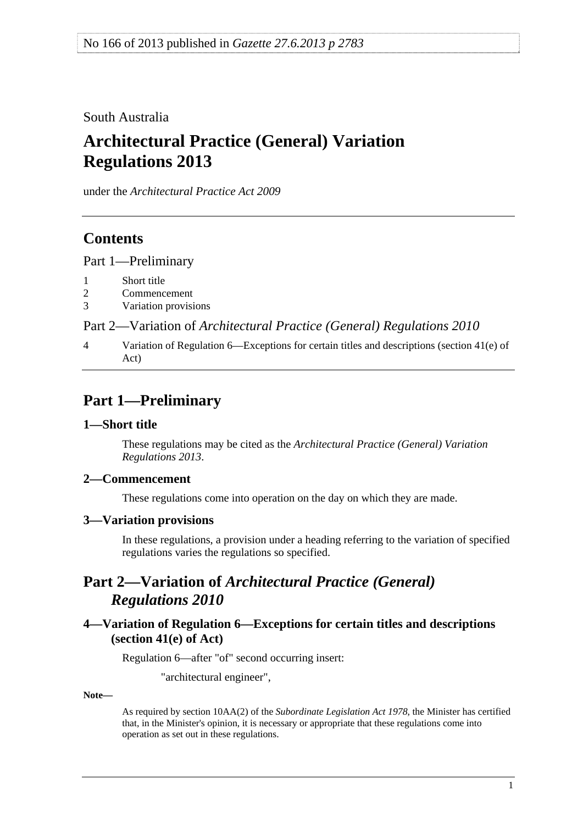<span id="page-0-0"></span>South Australia

# **Architectural Practice (General) Variation Regulations 2013**

under the *Architectural Practice Act 2009*

### **Contents**

[Part 1—Preliminary](#page-0-0)

- [1 Short title](#page-0-0)
- [2 Commencement](#page-0-0)
- [3 Variation provisions](#page-0-0)

Part 2—Variation of *[Architectural Practice \(General\) Regulations 2010](#page-0-0)*

[4 Variation of Regulation 6—Exceptions for certain titles and descriptions \(section 41\(e\) of](#page-0-0)  [Act\)](#page-0-0)

### **Part 1—Preliminary**

#### **1—Short title**

These regulations may be cited as the *Architectural Practice (General) Variation Regulations 2013*.

#### **2—Commencement**

These regulations come into operation on the day on which they are made.

#### **3—Variation provisions**

In these regulations, a provision under a heading referring to the variation of specified regulations varies the regulations so specified.

### **Part 2—Variation of** *Architectural Practice (General) Regulations 2010*

#### **4—Variation of Regulation 6—Exceptions for certain titles and descriptions (section 41(e) of Act)**

Regulation 6—after "of" second occurring insert:

"architectural engineer",

**Note—** 

As required by section 10AA(2) of the *[Subordinate Legislation Act 1978](http://www.legislation.sa.gov.au/index.aspx?action=legref&type=act&legtitle=Subordinate%20Legislation%20Act%201978)*, the Minister has certified that, in the Minister's opinion, it is necessary or appropriate that these regulations come into operation as set out in these regulations.